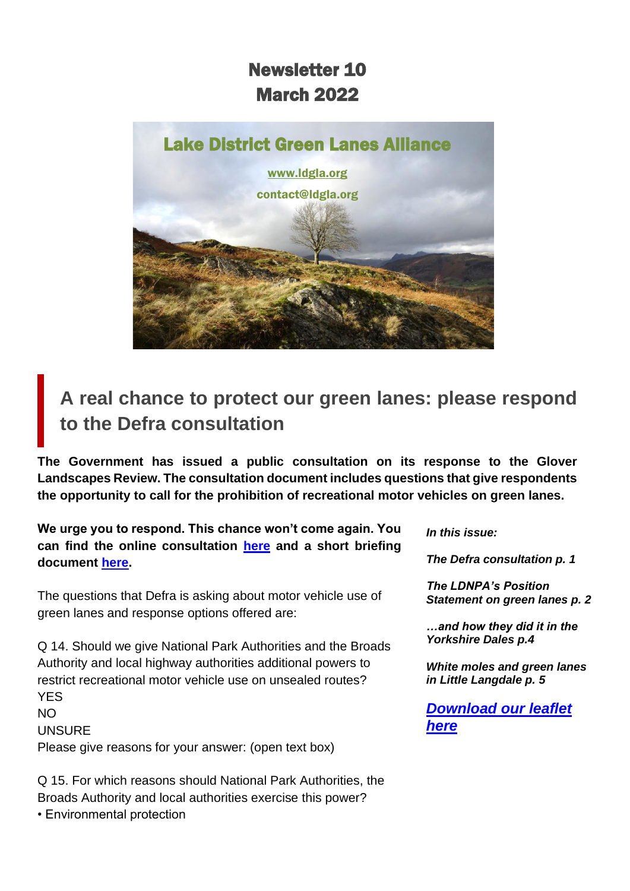### Newsletter 10 March 2022



**A real chance to protect our green lanes: please respond to the Defra consultation**

**The Government has issued a public consultation on its response to the Glover Landscapes Review. The consultation document includes questions that give respondents the opportunity to call for the prohibition of recreational motor vehicles on green lanes.** 

**We urge you to respond. This chance won't come again. You can find the online consultation [here](https://consult.defra.gov.uk/future-landscapes-strategy/government-response-to-the-landscapes-review/) and a short briefing document [here.](https://www.savethelakedistrict.com/_files/ugd/269609_228203d25bec4b1c83b499ef9c2b6f6a.pdf)**

The questions that Defra is asking about motor vehicle use of green lanes and response options offered are:

Q 14. Should we give National Park Authorities and the Broads Authority and local highway authorities additional powers to restrict recreational motor vehicle use on unsealed routes? YES NO

**UNSURF** Please give reasons for your answer: (open text box)

Q 15. For which reasons should National Park Authorities, the Broads Authority and local authorities exercise this power? • Environmental protection

*In this issue:*

*The Defra consultation p. 1*

*The LDNPA's Position Statement on green lanes p. 2*

*…and how they did it in the Yorkshire Dales p.4*

*White moles and green lanes in Little Langdale p. 5*

*[Download our leaflet](https://d93992ec-49a9-490d-8cd2-4c8f6682bde7.filesusr.com/ugd/269609_4dfa44ecc9c94858b47eb7b5075a5d50.pdf)  [here](https://d93992ec-49a9-490d-8cd2-4c8f6682bde7.filesusr.com/ugd/269609_4dfa44ecc9c94858b47eb7b5075a5d50.pdf)*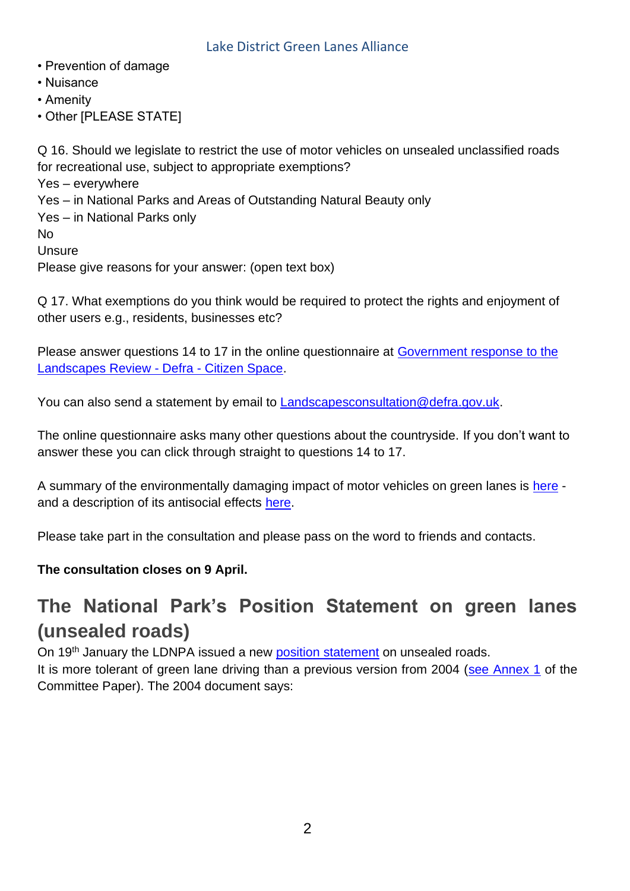- Prevention of damage
- Nuisance
- Amenity
- Other [PLEASE STATE]

Q 16. Should we legislate to restrict the use of motor vehicles on unsealed unclassified roads for recreational use, subject to appropriate exemptions? Yes – everywhere Yes – in National Parks and Areas of Outstanding Natural Beauty only Yes – in National Parks only No Unsure Please give reasons for your answer: (open text box)

Q 17. What exemptions do you think would be required to protect the rights and enjoyment of other users e.g., residents, businesses etc?

Please answer questions 14 to 17 in the online questionnaire at Government response to the [Landscapes Review -](https://consult.defra.gov.uk/future-landscapes-strategy/government-response-to-the-landscapes-review/) Defra - Citizen Space.

You can also send a statement by email to [Landscapesconsultation@defra.gov.uk.](mailto:Landscapesconsultation@defra.gov.uk)

The online questionnaire asks many other questions about the countryside. If you don't want to answer these you can click through straight to questions 14 to 17.

A summary of the environmentally damaging impact of motor vehicles on green lanes is [here](https://www.savethelakedistrict.com/_files/ugd/269609_dbd9c2573a4c4a84bdef12baaa06b7a5.pdf) and a description of its antisocial effects [here.](https://www.savethelakedistrict.com/_files/ugd/269609_7becb33728eb4f76947ea8cf172d6ba1.pdf)

Please take part in the consultation and please pass on the word to friends and contacts.

### **The consultation closes on 9 April.**

### **The National Park's Position Statement on green lanes (unsealed roads)**

On 19<sup>th</sup> January the LDNPA issued a new [position statement](https://www.lakedistrict.gov.uk/visiting/things-to-do/unsealed-roads) on unsealed roads. It is more tolerant of green lane driving than a previous version from 2004 [\(see Annex 1](https://www.lakedistrict.gov.uk/__data/assets/pdf_file/0022/411439/2022_01_19-Position-Statement-on-Unsealed-Roads.pdf) of the Committee Paper). The 2004 document says: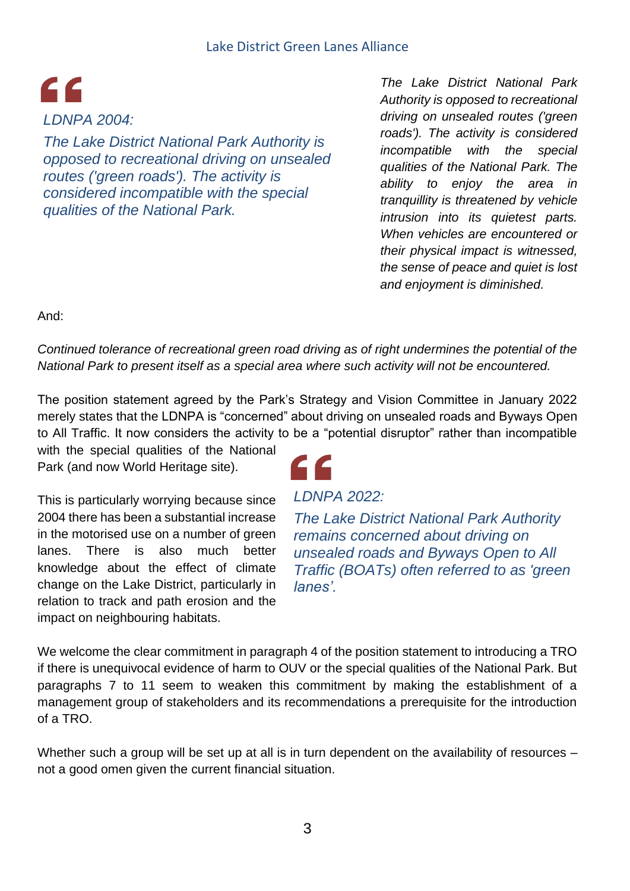## $\epsilon$ *LDNPA 2004:*

*The Lake District National Park Authority is opposed to recreational driving on unsealed routes ('green roads'). The activity is considered incompatible with the special qualities of the National Park.*

*The Lake District National Park Authority is opposed to recreational driving on unsealed routes ('green roads'). The activity is considered incompatible with the special qualities of the National Park. The ability to enjoy the area in tranquillity is threatened by vehicle intrusion into its quietest parts. When vehicles are encountered or their physical impact is witnessed, the sense of peace and quiet is lost and enjoyment is diminished.* 

And:

### *Continued tolerance of recreational green road driving as of right undermines the potential of the National Park to present itself as a special area where such activity will not be encountered.*

The position statement agreed by the Park's Strategy and Vision Committee in January 2022 merely states that the LDNPA is "concerned" about driving on unsealed roads and Byways Open to All Traffic. It now considers the activity to be a "potential disruptor" rather than incompatible

with the special qualities of the National Park (and now World Heritage site).

This is particularly worrying because since 2004 there has been a substantial increase in the motorised use on a number of green lanes. There is also much better knowledge about the effect of climate change on the Lake District, particularly in relation to track and path erosion and the impact on neighbouring habitats.

### *LDNPA 2022:*

*The Lake District National Park Authority remains concerned about driving on unsealed roads and Byways Open to All Traffic (BOATs) often referred to as 'green lanes'.*

We welcome the clear commitment in paragraph 4 of the position statement to introducing a TRO if there is unequivocal evidence of harm to OUV or the special qualities of the National Park. But paragraphs 7 to 11 seem to weaken this commitment by making the establishment of a management group of stakeholders and its recommendations a prerequisite for the introduction of a TRO.

Whether such a group will be set up at all is in turn dependent on the availability of resources – not a good omen given the current financial situation.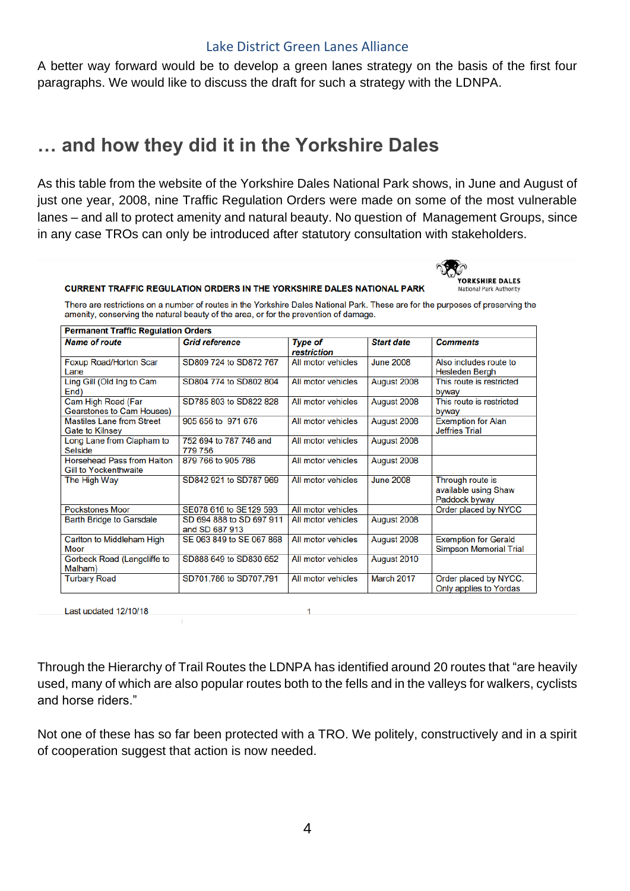A better way forward would be to develop a green lanes strategy on the basis of the first four paragraphs. We would like to discuss the draft for such a strategy with the LDNPA.

### **… and how they did it in the Yorkshire Dales**

As this table from the website of the Yorkshire Dales National Park shows, in June and August of just one year, 2008, nine Traffic Regulation Orders were made on some of the most vulnerable lanes – and all to protect amenity and natural beauty. No question of Management Groups, since in any case TROs can only be introduced after statutory consultation with stakeholders.



#### **CURRENT TRAFFIC REGULATION ORDERS IN THE YORKSHIRE DALES NATIONAL PARK**

There are restrictions on a number of routes in the Yorkshire Dales National Park. These are for the purposes of preserving the amenity, conserving the natural beauty of the area, or for the prevention of damage.

| <b>Permanent Traffic Regulation Orders</b>                        |                                            |                               |                   |                                                              |
|-------------------------------------------------------------------|--------------------------------------------|-------------------------------|-------------------|--------------------------------------------------------------|
| <b>Name of route</b>                                              | <b>Grid reference</b>                      | <b>Type of</b><br>restriction | <b>Start date</b> | <b>Comments</b>                                              |
| Foxup Road/Horton Scar<br>Lane                                    | SD809 724 to SD872 767                     | All motor vehicles            | <b>June 2008</b>  | Also includes route to<br><b>Hesleden Bergh</b>              |
| Ling Gill (Old Ing to Cam<br>End)                                 | SD804 774 to SD802 804                     | All motor vehicles            | August 2008       | This route is restricted<br>byway                            |
| Cam High Road (Far<br><b>Gearstones to Cam Houses)</b>            | SD785 803 to SD822 828                     | All motor vehicles            | August 2008       | This route is restricted<br>byway                            |
| <b>Mastiles Lane from Street</b><br><b>Gate to Kilnsey</b>        | 905 656 to 971 676                         | All motor vehicles            | August 2008       | <b>Exemption for Alan</b><br><b>Jeffries Trial</b>           |
| Long Lane from Clapham to<br><b>Selside</b>                       | 752 694 to 787 746 and<br>779 756          | All motor vehicles            | August 2008       |                                                              |
| <b>Horsehead Pass from Halton</b><br><b>Gill to Yockenthwaite</b> | 879 766 to 905 786                         | All motor vehicles            | August 2008       |                                                              |
| The High Way                                                      | SD842 921 to SD787 969                     | All motor vehicles            | <b>June 2008</b>  | Through route is<br>available using Shaw<br>Paddock byway    |
| <b>Pockstones Moor</b>                                            | SE078 616 to SE129 593                     | All motor vehicles            |                   | Order placed by NYCC                                         |
| <b>Barth Bridge to Garsdale</b>                                   | SD 694 888 to SD 697 911<br>and SD 687 913 | All motor vehicles            | August 2008       |                                                              |
| Carlton to Middleham High<br><b>Moor</b>                          | SE 063 849 to SE 067 868                   | All motor vehicles            | August 2008       | <b>Exemption for Gerald</b><br><b>Simpson Memorial Trial</b> |
| Gorbeck Road (Langcliffe to<br>Malham)                            | SD888 649 to SD830 652                     | All motor vehicles            | August 2010       |                                                              |
| <b>Turbary Road</b>                                               | SD701,786 to SD707,791                     | All motor vehicles            | March 2017        | Order placed by NYCC.<br>Only applies to Yordas              |

Last updated 12/10/18

Through the Hierarchy of Trail Routes the LDNPA has identified around 20 routes that "are heavily used, many of which are also popular routes both to the fells and in the valleys for walkers, cyclists and horse riders."

Not one of these has so far been protected with a TRO. We politely, constructively and in a spirit of cooperation suggest that action is now needed.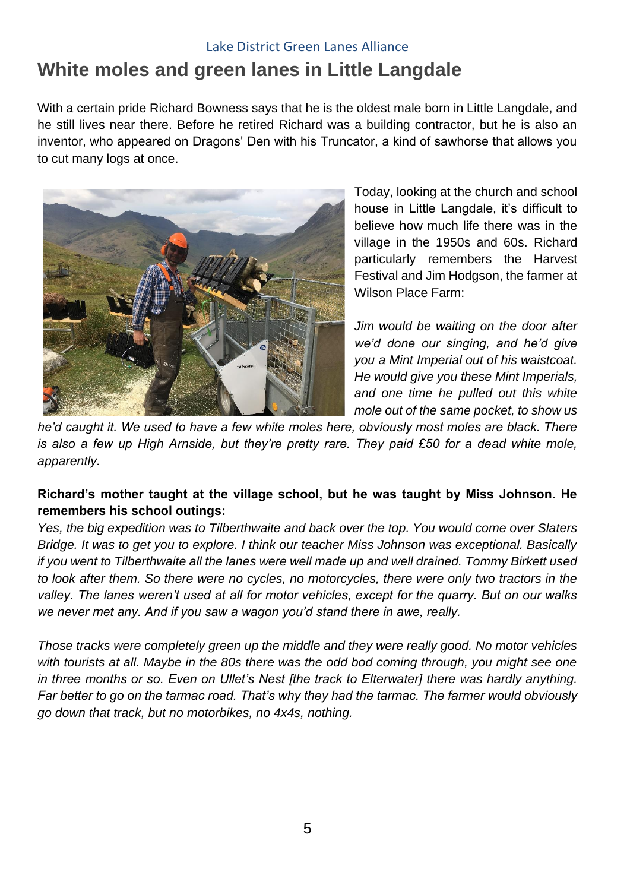### **White moles and green lanes in Little Langdale**

With a certain pride Richard Bowness says that he is the oldest male born in Little Langdale, and he still lives near there. Before he retired Richard was a building contractor, but he is also an inventor, who appeared on Dragons' Den with his Truncator, a kind of sawhorse that allows you to cut many logs at once.



Today, looking at the church and school house in Little Langdale, it's difficult to believe how much life there was in the village in the 1950s and 60s. Richard particularly remembers the Harvest Festival and Jim Hodgson, the farmer at Wilson Place Farm:

*Jim would be waiting on the door after we'd done our singing, and he'd give you a Mint Imperial out of his waistcoat. He would give you these Mint Imperials, and one time he pulled out this white mole out of the same pocket, to show us* 

*he'd caught it. We used to have a few white moles here, obviously most moles are black. There is also a few up High Arnside, but they're pretty rare. They paid £50 for a dead white mole, apparently.*

### **Richard's mother taught at the village school, but he was taught by Miss Johnson. He remembers his school outings:**

*Yes, the big expedition was to Tilberthwaite and back over the top. You would come over Slaters Bridge. It was to get you to explore. I think our teacher Miss Johnson was exceptional. Basically if you went to Tilberthwaite all the lanes were well made up and well drained. Tommy Birkett used to look after them. So there were no cycles, no motorcycles, there were only two tractors in the valley. The lanes weren't used at all for motor vehicles, except for the quarry. But on our walks we never met any. And if you saw a wagon you'd stand there in awe, really.*

*Those tracks were completely green up the middle and they were really good. No motor vehicles with tourists at all. Maybe in the 80s there was the odd bod coming through, you might see one in three months or so. Even on Ullet's Nest [the track to Elterwater] there was hardly anything. Far better to go on the tarmac road. That's why they had the tarmac. The farmer would obviously go down that track, but no motorbikes, no 4x4s, nothing.*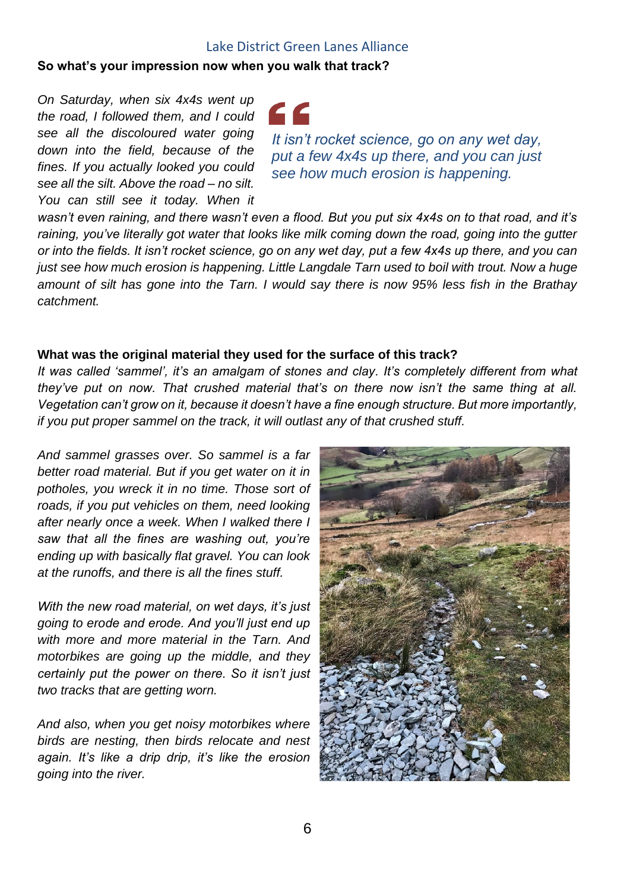### **So what's your impression now when you walk that track?**

*On Saturday, when six 4x4s went up the road, I followed them, and I could see all the discoloured water going down into the field, because of the fines. If you actually looked you could see all the silt. Above the road – no silt. You can still see it today. When it* 



*It isn't rocket science, go on any wet day, put a few 4x4s up there, and you can just see how much erosion is happening.*

*wasn't even raining, and there wasn't even a flood. But you put six 4x4s on to that road, and it's raining, you've literally got water that looks like milk coming down the road, going into the gutter or into the fields. It isn't rocket science, go on any wet day, put a few 4x4s up there, and you can just see how much erosion is happening. Little Langdale Tarn used to boil with trout. Now a huge amount of silt has gone into the Tarn. I would say there is now 95% less fish in the Brathay catchment.*

#### **What was the original material they used for the surface of this track?**

*It was called 'sammel', it's an amalgam of stones and clay. It's completely different from what they've put on now. That crushed material that's on there now isn't the same thing at all. Vegetation can't grow on it, because it doesn't have a fine enough structure. But more importantly, if you put proper sammel on the track, it will outlast any of that crushed stuff.*

*And sammel grasses over. So sammel is a far better road material. But if you get water on it in potholes, you wreck it in no time. Those sort of roads, if you put vehicles on them, need looking after nearly once a week. When I walked there I saw that all the fines are washing out, you're ending up with basically flat gravel. You can look at the runoffs, and there is all the fines stuff.* 

*With the new road material, on wet days, it's just going to erode and erode. And you'll just end up with more and more material in the Tarn. And motorbikes are going up the middle, and they certainly put the power on there. So it isn't just two tracks that are getting worn.* 

*And also, when you get noisy motorbikes where birds are nesting, then birds relocate and nest again. It's like a drip drip, it's like the erosion going into the river.*